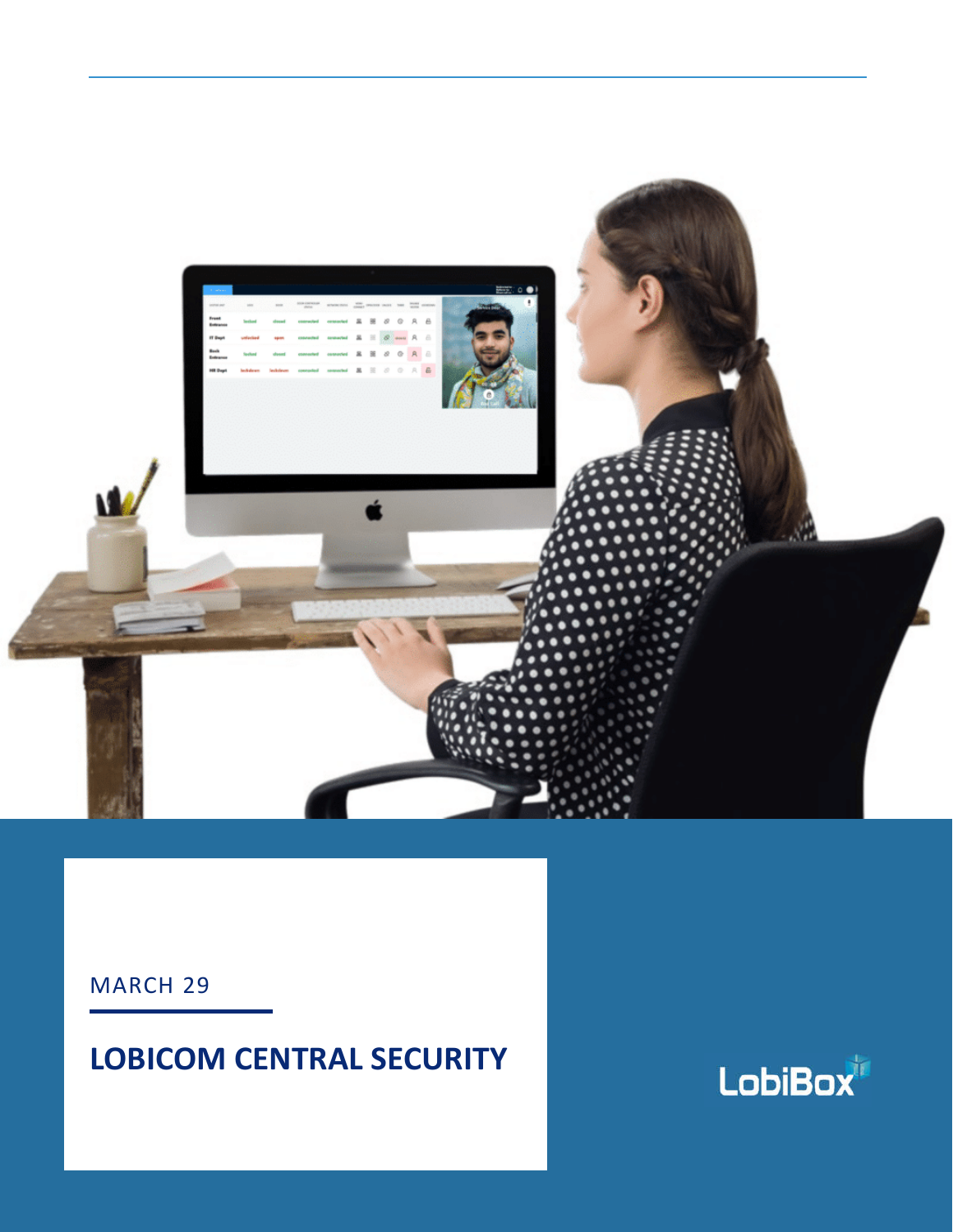

**1**

MARCH 29

# **LOBICOM CENTRAL SECURITY**

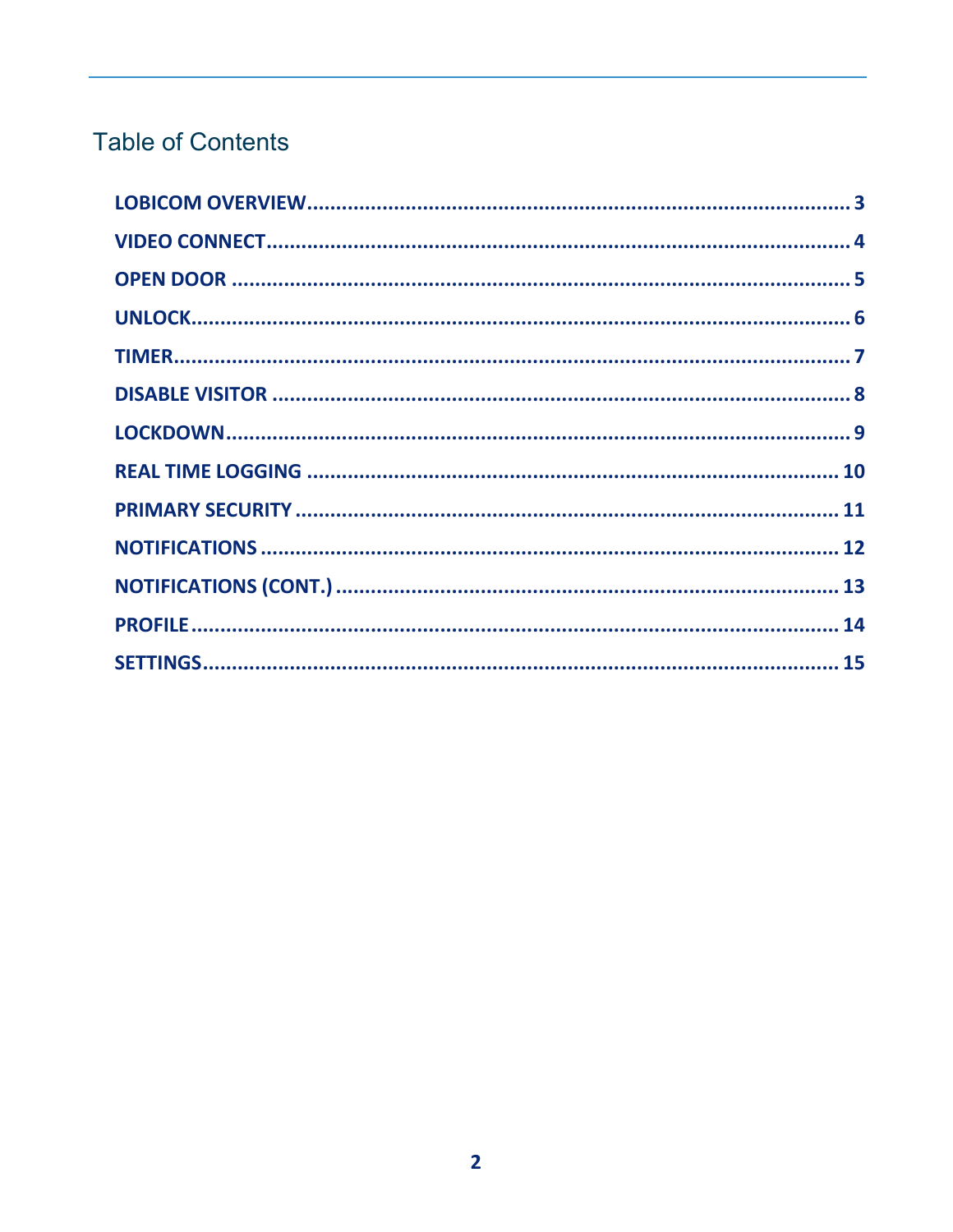# **Table of Contents**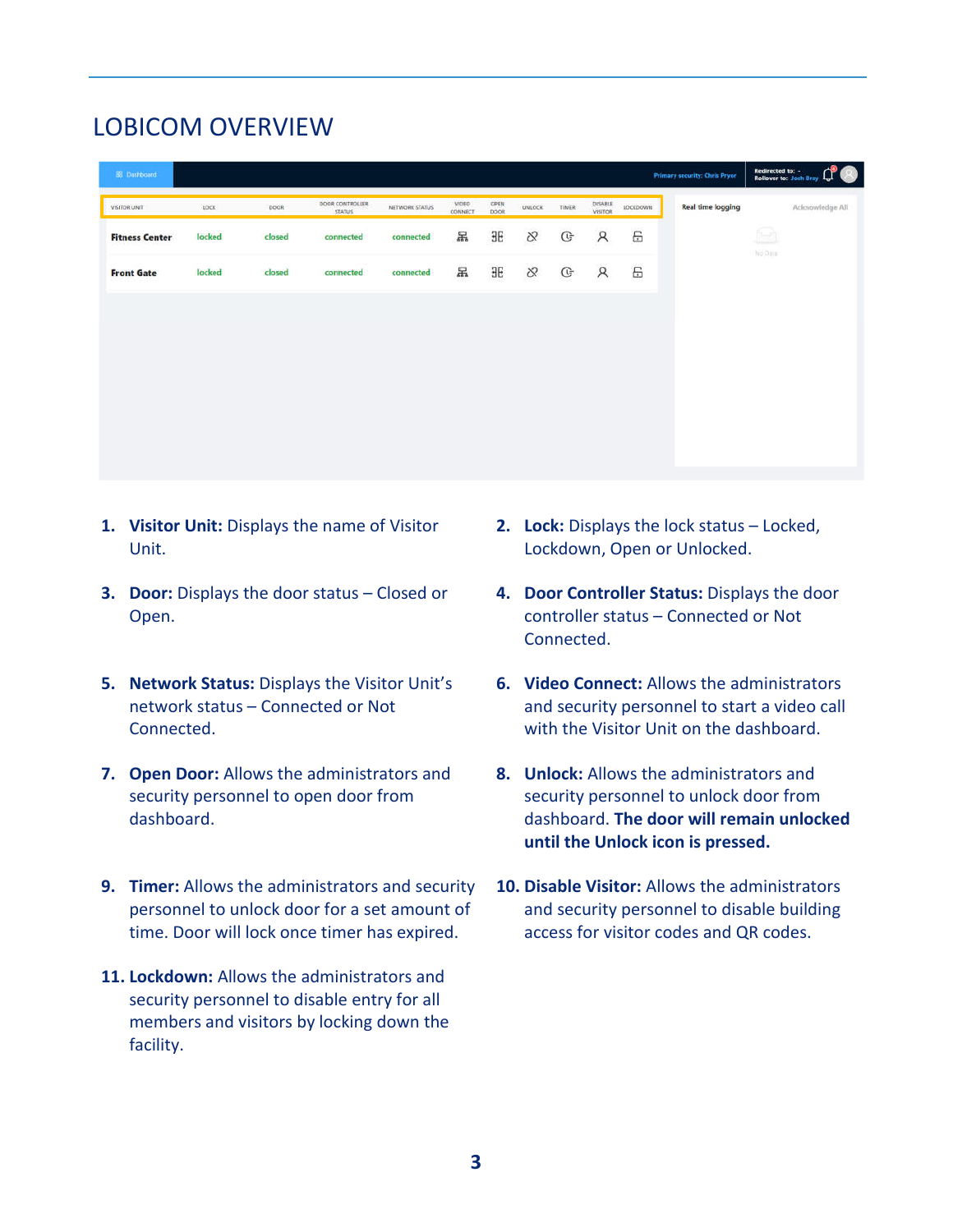## LOBICOM OVERVIEW

| <b>IS Dashboard</b>   |        |        |                                  |                |                  |              |          |              |                           |            | <b>Primary security: Chris Pryor</b> | Redirected to: -<br><b>Rollover to: Josh Bray</b> |  |
|-----------------------|--------|--------|----------------------------------|----------------|------------------|--------------|----------|--------------|---------------------------|------------|--------------------------------------|---------------------------------------------------|--|
| <b>VISITOR UNIT</b>   | LOCK   | DOOR   | DOOR CONTROLLER<br><b>STATUS</b> | NETWORK STATUS | VIDEO<br>CONNECT | OPEN<br>DOOR | UNLOCK   | TIMER        | DISABLE<br><b>VISITOR</b> | LOCKDOWN   | <b>Real time logging</b>             | Acknowledge All                                   |  |
| <b>Fitness Center</b> | locked | closed | connected                        | connected      | 晑                | ЭE           | $\infty$ | $\mathbb{G}$ | $\mathcal{R}$             | 6          |                                      | 一                                                 |  |
| <b>Front Gate</b>     | locked | closed | connected                        | connected      | 晑                | $\exists E$  | $\infty$ | $\mathbb{G}$ | $\beta$                   | $\boxplus$ |                                      | heo Data                                          |  |
|                       |        |        |                                  |                |                  |              |          |              |                           |            |                                      |                                                   |  |
|                       |        |        |                                  |                |                  |              |          |              |                           |            |                                      |                                                   |  |
|                       |        |        |                                  |                |                  |              |          |              |                           |            |                                      |                                                   |  |
|                       |        |        |                                  |                |                  |              |          |              |                           |            |                                      |                                                   |  |
|                       |        |        |                                  |                |                  |              |          |              |                           |            |                                      |                                                   |  |
|                       |        |        |                                  |                |                  |              |          |              |                           |            |                                      |                                                   |  |

- **1. Visitor Unit:** Displays the name of Visitor Unit.
- **3. Door:** Displays the door status Closed or Open.
- **5. Network Status:** Displays the Visitor Unit's network status – Connected or Not Connected.
- **7. Open Door:** Allows the administrators and security personnel to open door from dashboard.
- **9. Timer:** Allows the administrators and security personnel to unlock door for a set amount of time. Door will lock once timer has expired.
- **11. Lockdown:** Allows the administrators and security personnel to disable entry for all members and visitors by locking down the facility.
- **2. Lock:** Displays the lock status Locked, Lockdown, Open or Unlocked.
- **4. Door Controller Status:** Displays the door controller status – Connected or Not Connected.
- **6. Video Connect:** Allows the administrators and security personnel to start a video call with the Visitor Unit on the dashboard.
- **8. Unlock:** Allows the administrators and security personnel to unlock door from dashboard. **The door will remain unlocked until the Unlock icon is pressed.**
- **10. Disable Visitor:** Allows the administrators and security personnel to disable building access for visitor codes and QR codes.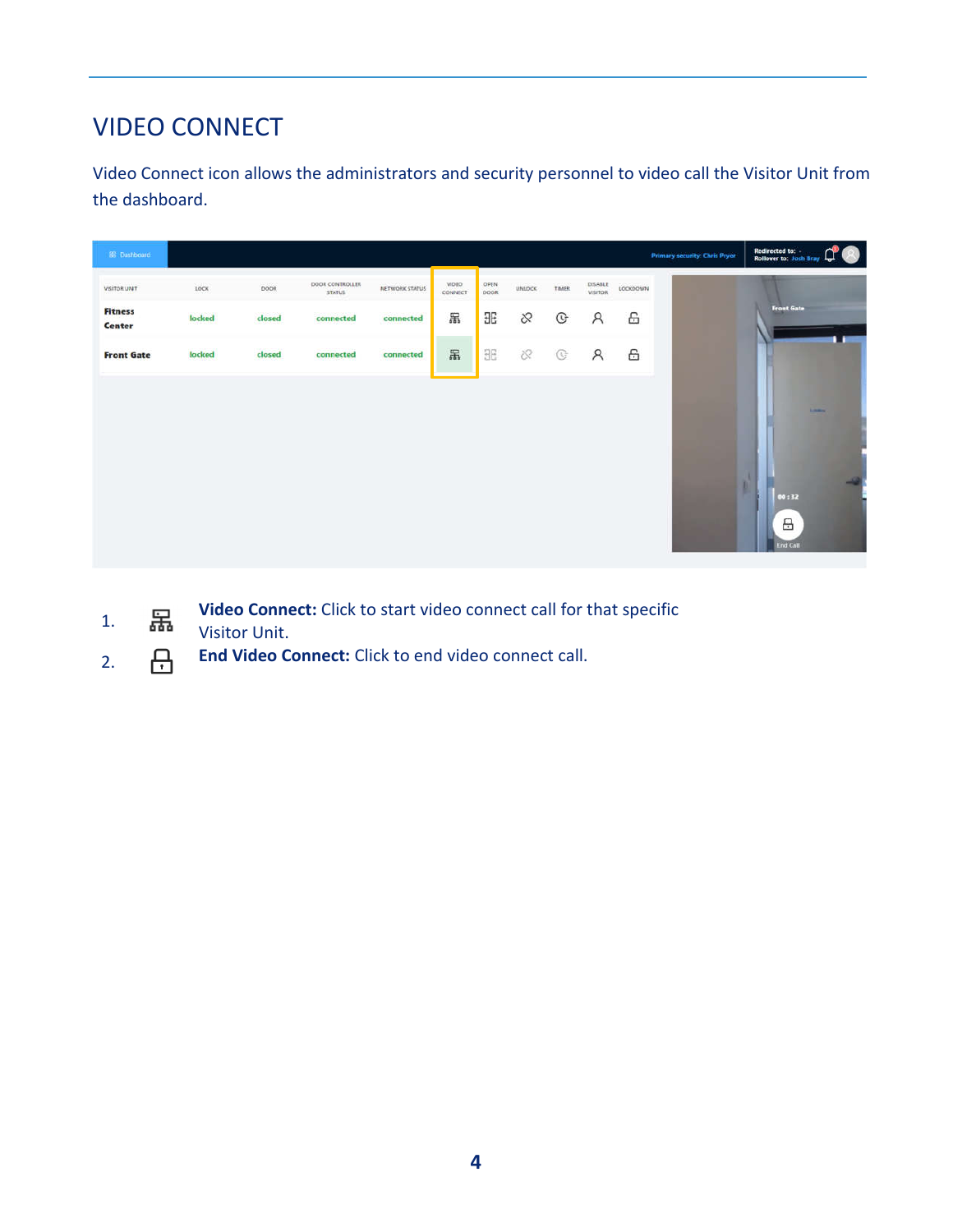# VIDEO CONNECT

Video Connect icon allows the administrators and security personnel to video call the Visitor Unit from the dashboard.

| 88 Dashboard                    |        |                   |                                  |                |                   |              |           |                         |                    |                               | <b>Primary security: Chris Pryor</b> | Redirected to: .<br>Rollover to: Josh Bray (<br>® |
|---------------------------------|--------|-------------------|----------------------------------|----------------|-------------------|--------------|-----------|-------------------------|--------------------|-------------------------------|--------------------------------------|---------------------------------------------------|
| VISITOR UNIT                    | LOCK   | 0.0129.15<br>DOOR | DOOR CONTROLLER<br><b>STATUS</b> | NETWORK STATUS | VIDEO:<br>CONNECT | OPEN<br>DOOR | UNLOCK    | <b>ALCOHOL</b><br>TIMER | DISABLE<br>VISITOR | <b>CONTRACTOR</b><br>LOCKDOWN |                                      |                                                   |
| <b>Fitness</b><br><b>Center</b> | locked | closed            | connected                        | connected      | 吊                 | 96           | 8         | G                       | $\beta$            | 6                             |                                      | <b>Front Gate</b>                                 |
| <b>Front Gate</b>               | locked | closed            | connected                        | connected      | 品                 | 36           | $\otimes$ | G                       | $\beta$            | 6                             |                                      |                                                   |
|                                 |        |                   |                                  |                |                   |              |           |                         |                    |                               |                                      | Library.<br>00:32<br>A<br>End Call                |

- 1. **Fig.** Video Connect: Click to start video connect call for that specific Visitor Unit.
- 2. **End Video Connect:** Click to end video connect call.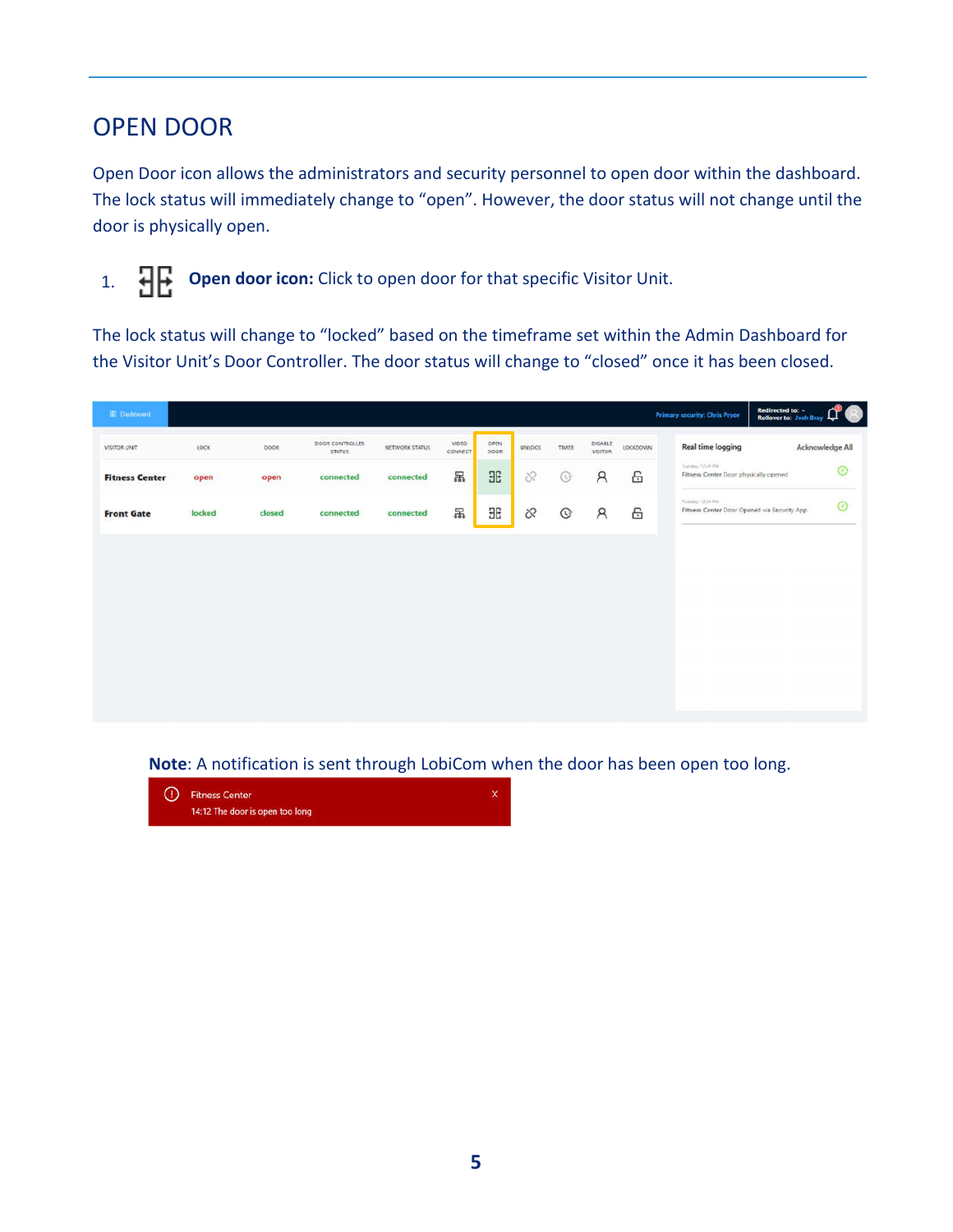## OPEN DOOR

Open Door icon allows the administrators and security personnel to open door within the dashboard. The lock status will immediately change to "open". However, the door status will not change until the door is physically open.

1. **Open door icon:** Click to open door for that specific Visitor Unit.

The lock status will change to "locked" based on the timeframe set within the Admin Dashboard for the Visitor Unit's Door Controller. The door status will change to "closed" once it has been closed.

| E Dashboard           |        |        |                                  |                |                   |              |               |       |                    |          | <b>Primary security: Chris Pryor</b>                            | Redirected to: -<br><b>Rollover to: Josh Bray</b> | ليبا            |
|-----------------------|--------|--------|----------------------------------|----------------|-------------------|--------------|---------------|-------|--------------------|----------|-----------------------------------------------------------------|---------------------------------------------------|-----------------|
| VISITOR UNIT          | LOCK   | DOOR.  | DOOR CONTROLLER<br><b>STATUS</b> | NETWORK STATUS | vitito<br>CONNECT | OPEN<br>DOOR | <b>UNLOCK</b> | TIMTR | DISABLE<br>VISITOR | LOCKDOWN | <b>Real time logging</b>                                        |                                                   | Acknowledge All |
| <b>Fitness Center</b> | open   | open   | connected                        | connected      | 品                 | <b>HE</b>    | $\otimes$     | G     | $\mathcal{R}$      | 6        | Suitabez 12-24-244<br>Fitness Center Door physically opened     |                                                   | $\odot$         |
| <b>Front Gate</b>     | locked | closed | connected                        | connected      | 品                 | <b>HE</b>    | $\infty$      | G     | $\beta$            | 6        | Tuesday, 1224 PM<br>Fitness Center Door Opened via Security App |                                                   | $\circ$         |
|                       |        |        |                                  |                |                   |              |               |       |                    |          |                                                                 |                                                   |                 |
|                       |        |        |                                  |                |                   |              |               |       |                    |          |                                                                 |                                                   |                 |
|                       |        |        |                                  |                |                   |              |               |       |                    |          |                                                                 |                                                   |                 |
|                       |        |        |                                  |                |                   |              |               |       |                    |          |                                                                 |                                                   |                 |
|                       |        |        |                                  |                |                   |              |               |       |                    |          |                                                                 |                                                   |                 |
|                       |        |        |                                  |                |                   |              |               |       |                    |          |                                                                 |                                                   |                 |
|                       |        |        |                                  |                |                   |              |               |       |                    |          |                                                                 |                                                   |                 |
|                       |        |        |                                  |                |                   |              |               |       |                    |          |                                                                 |                                                   |                 |

**Note**: A notification is sent through LobiCom when the door has been open too long.

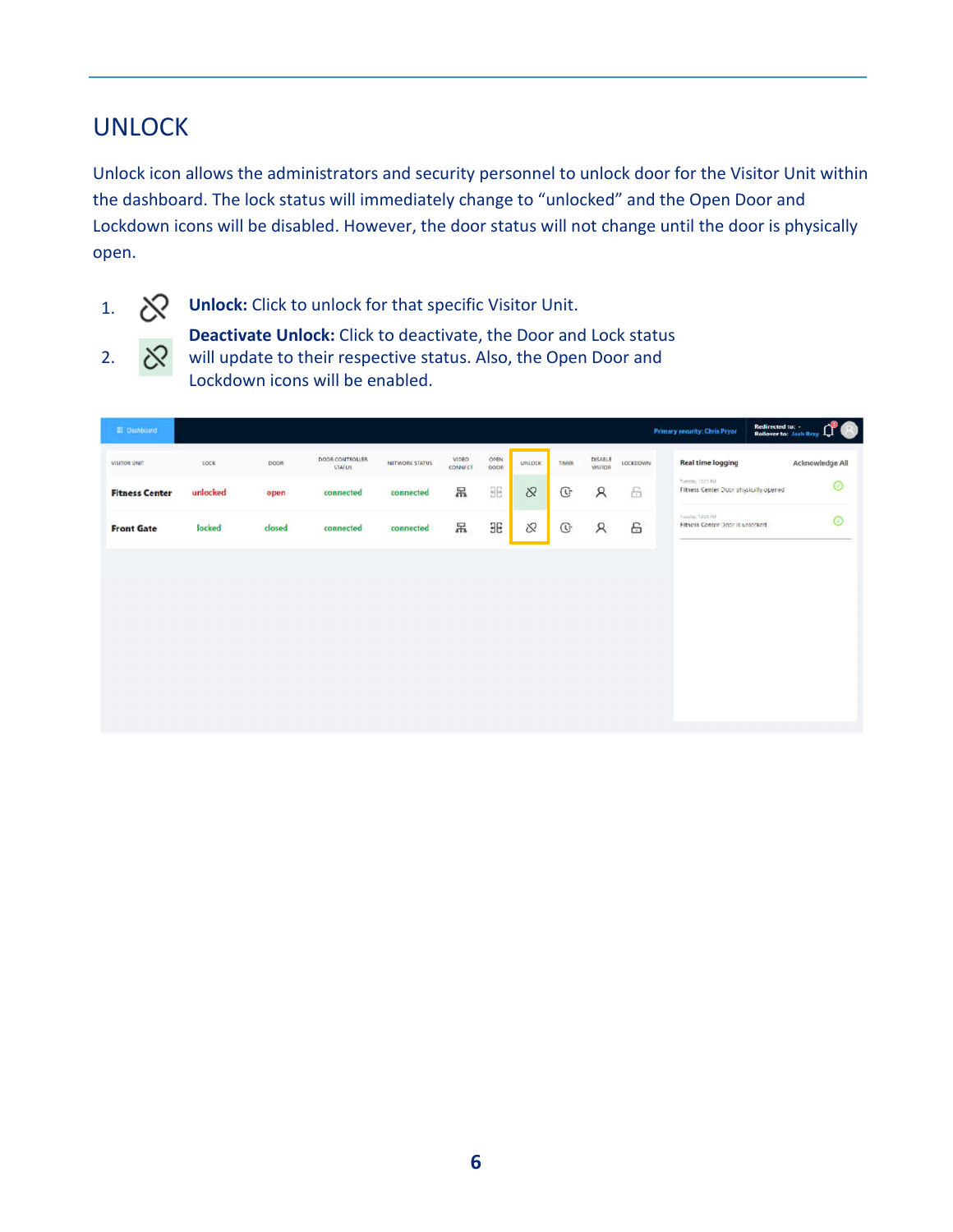## UNLOCK

Unlock icon allows the administrators and security personnel to unlock door for the Visitor Unit within the dashboard. The lock status will immediately change to "unlocked" and the Open Door and Lockdown icons will be disabled. However, the door status will not change until the door is physically open.



2.

1. **X Unlock:** Click to unlock for that specific Visitor Unit.

**Deactivate Unlock:** Click to deactivate, the Door and Lock status ঔ will update to their respective status. Also, the Open Door and Lockdown icons will be enabled.

| 图 Dashboard           |          |             |                                  |                |                                |              |          |              |                    |          | Primary security: Chris Pryor.                              | Redirected to:<br>Rollover to: Josh Bray |                 |
|-----------------------|----------|-------------|----------------------------------|----------------|--------------------------------|--------------|----------|--------------|--------------------|----------|-------------------------------------------------------------|------------------------------------------|-----------------|
| VISITOR UNIT          | SOCK     | <b>DOOR</b> | DOOR CONTROLLER<br><b>STATUS</b> | NETWORK STATUS | <b>VIDEO</b><br><b>CONNECT</b> | OPEN<br>DOOR | UNIOCK   | TIMER        | DISABLE<br>VISITOR | LOCKDOWN | <b>Real time logging</b>                                    |                                          | Acknowledge All |
| <b>Fitness Center</b> | unlocked | open        | connected                        | connected      | 昂                              | <b>BB</b>    | $\infty$ | $\mathbb{G}$ | $\mathcal{R}$      | 6        | Tuester, (223 Fol.<br>Fitness Center Door physically opened |                                          | Ø               |
| <b>Front Gate</b>     | locked   | closed      | connected                        | connected      | 吊                              | ЭE           | S.       | $\mathbb{G}$ | $\beta$            | 6        | Fessing, SEELIM<br>Fitness Center Door is unlocked.         |                                          | $\odot$         |
|                       |          |             |                                  |                |                                |              |          |              |                    |          |                                                             |                                          |                 |
|                       |          |             |                                  |                |                                |              |          |              |                    |          |                                                             |                                          |                 |
|                       |          |             |                                  |                |                                |              |          |              |                    |          |                                                             |                                          |                 |
|                       |          |             |                                  |                |                                |              |          |              |                    |          |                                                             |                                          |                 |
|                       |          |             |                                  |                |                                |              |          |              |                    |          |                                                             |                                          |                 |
|                       |          |             |                                  |                |                                |              |          |              |                    |          |                                                             |                                          |                 |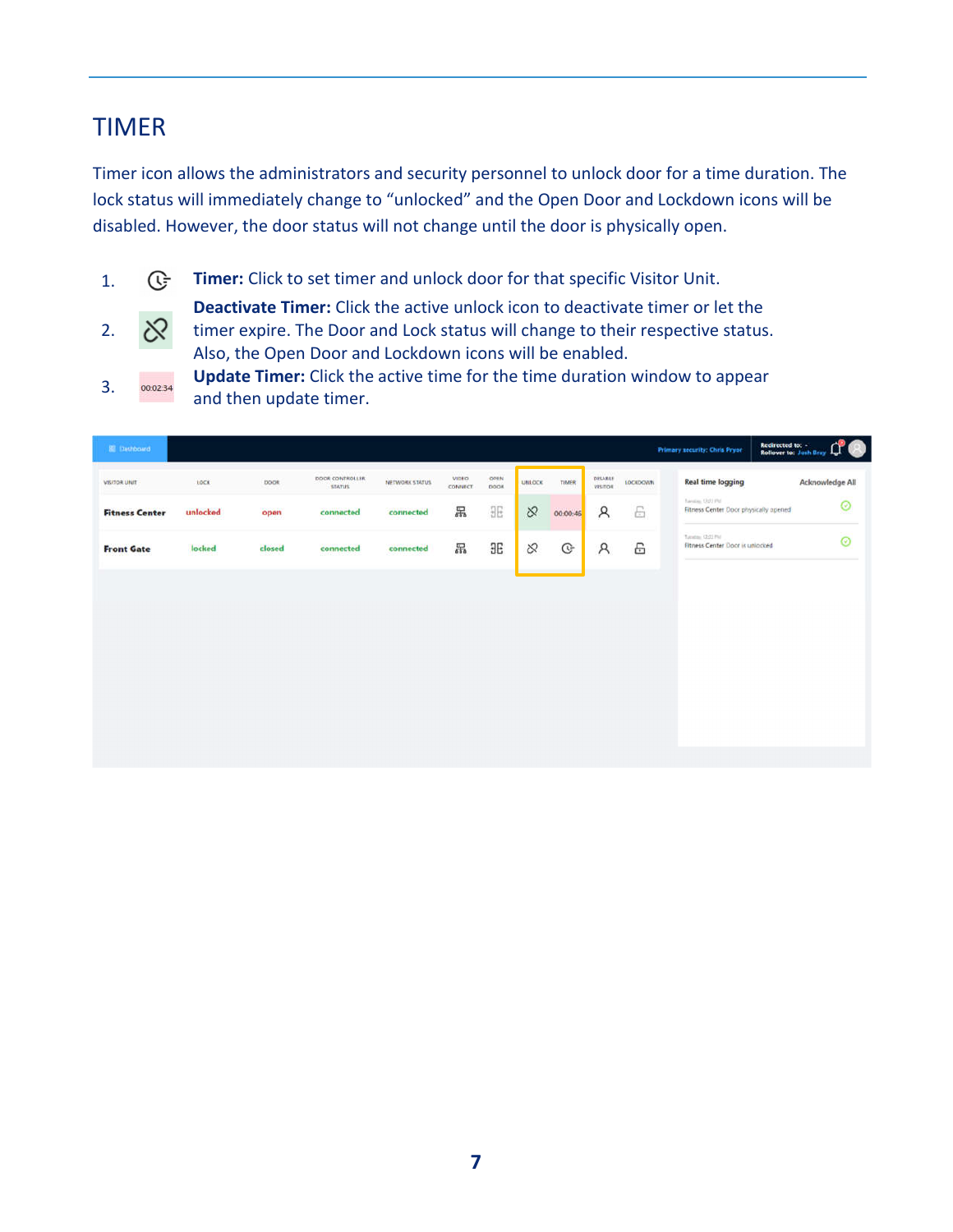### TIMER

Timer icon allows the administrators and security personnel to unlock door for a time duration. The lock status will immediately change to "unlocked" and the Open Door and Lockdown icons will be disabled. However, the door status will not change until the door is physically open.

- 1. *C***:** Timer: Click to set timer and unlock door for that specific Visitor Unit.
- $\otimes$ 2.

**Deactivate Timer:** Click the active unlock icon to deactivate timer or let the timer expire. The Door and Lock status will change to their respective status. Also, the Open Door and Lockdown icons will be enabled. 3. **Update Timer:** Click the active time for the time duration window to appear

and then update timer.

| <b>SI</b> Dashboard   |          |             |                                  |                |                   |                               |               |              |                    |                 | Primary security: Chris Pryor                            | Redirected to: -<br>Rollover to: Josh Bray |
|-----------------------|----------|-------------|----------------------------------|----------------|-------------------|-------------------------------|---------------|--------------|--------------------|-----------------|----------------------------------------------------------|--------------------------------------------|
| <b>VISITOR UNIT</b>   | LOCK     | <b>DOOR</b> | DOOR CONTROLLER<br><b>STATUS</b> | NETWORK STATUS | VIDEO.<br>CONNECT | OPEN.<br><b>DOOK</b>          | <b>UNLOCK</b> | TIMER        | DELABLE<br>VISITOR | <b>LOCKDOWN</b> | <b>Real time logging</b>                                 | Acknowledge All                            |
| <b>Fitness Center</b> | unlocked | open        | connected<br><b>DESCRIPTION</b>  | connected      | 晑                 | $\exists E$                   | $\infty$      | 00:00:46     | $\mathcal{R}$      | $\ominus$       | haven thirt Pd.<br>Fitness Center Door physically opened | $^{\circ}$                                 |
| <b>Front Gate</b>     | locked   | closed      | connected                        | connected      | 晑                 | $\overline{\text{a}}\text{E}$ | $\otimes$     | $\mathbb{G}$ | $\mathcal{R}$      | 6               | Tunitis (2/2) Pel<br>Fitness Center Door is unlocked     | Ø                                          |
|                       |          |             |                                  |                |                   |                               |               |              |                    |                 |                                                          |                                            |
|                       |          |             |                                  |                |                   |                               |               |              |                    |                 |                                                          |                                            |
|                       |          |             |                                  |                |                   |                               |               |              |                    |                 |                                                          |                                            |
|                       |          |             |                                  |                |                   |                               |               |              |                    |                 |                                                          |                                            |
|                       |          |             |                                  |                |                   |                               |               |              |                    |                 |                                                          |                                            |
|                       |          |             |                                  |                |                   |                               |               |              |                    |                 |                                                          |                                            |
|                       |          |             |                                  |                |                   |                               |               |              |                    |                 |                                                          |                                            |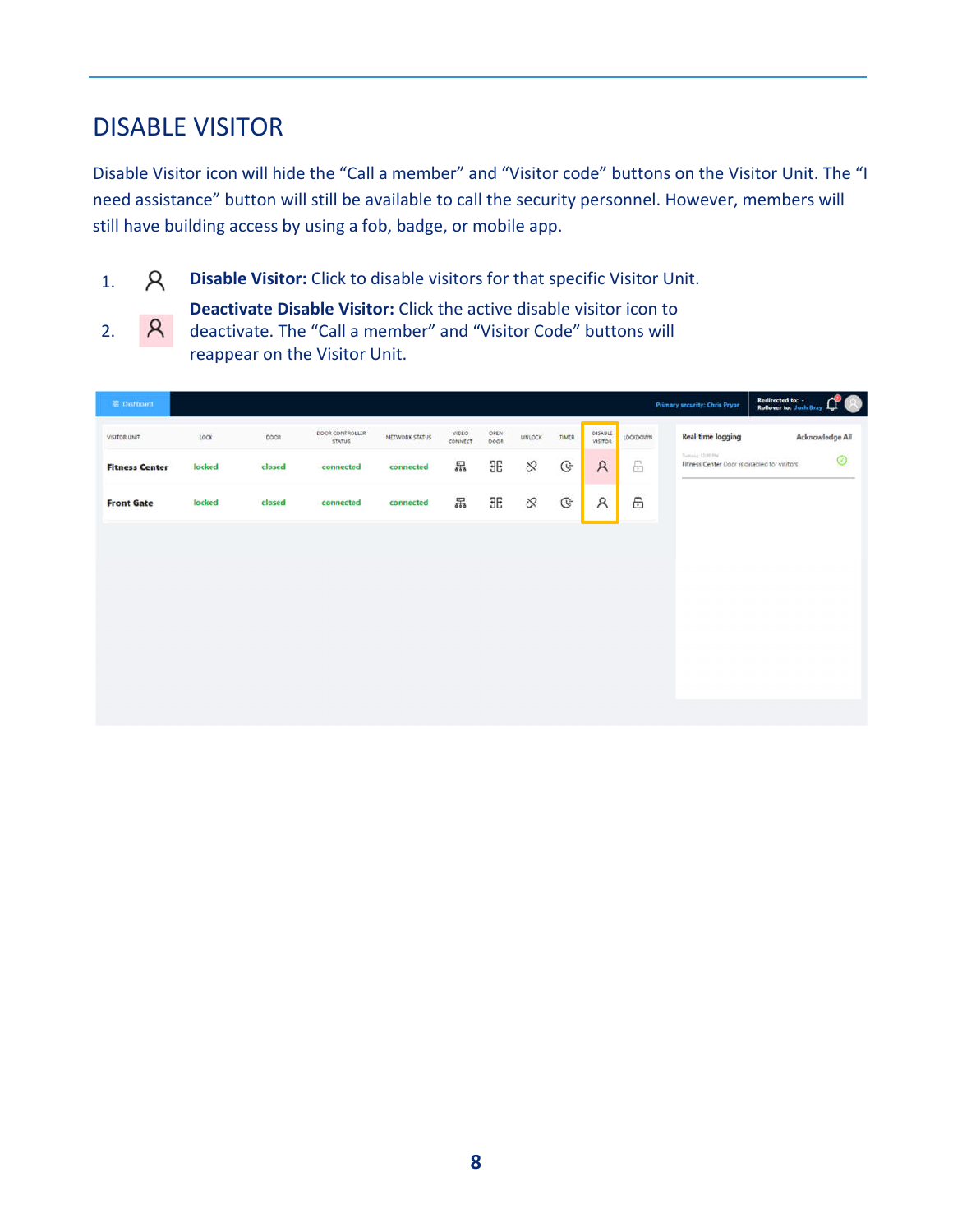## DISABLE VISITOR

Disable Visitor icon will hide the "Call a member" and "Visitor code" buttons on the Visitor Unit. The "I need assistance" button will still be available to call the security personnel. However, members will still have building access by using a fob, badge, or mobile app.

- 1. **Disable Visitor:** Click to disable visitors for that specific Visitor Unit.
- **Deactivate Disable Visitor:** Click the active disable visitor icon to  $\mathcal{R}$ 2. deactivate. The "Call a member" and "Visitor Code" buttons will reappear on the Visitor Unit.

| <b>BE</b> Distribuint |        |        |                                  |                |                  |              |          |              |                           |                     | <b>Primary security: Chris Pryor</b>                           | Redirected to: -<br><b>Rollover to: Josh Bray</b><br>لمرساء |
|-----------------------|--------|--------|----------------------------------|----------------|------------------|--------------|----------|--------------|---------------------------|---------------------|----------------------------------------------------------------|-------------------------------------------------------------|
| VISITOR UNIT          | LOCK   | DOOR   | DOOR CONTROLLER<br><b>STATUS</b> | NETWORK STATUS | VIDEO<br>connect | OPEN<br>poon | UNLOCK   | <b>TIMER</b> | DISABLE<br><b>VISITOR</b> | LOCKDOWN            | <b>Real time logging</b>                                       | Acknowledge All                                             |
| <b>Fitness Center</b> | locked | closed | connected                        | connected      | 品                | <b>BB</b>    | $\infty$ | $\mathbb{G}$ | $\mathcal{R}$             | $\frac{\mu}{\ln 2}$ | Tunday 1208194<br>Fitness Center Door is cisabled for visitors | Ø                                                           |
| <b>Front Gate</b>     | locked | closed | connected                        | connected      | 吊                | <b>HE</b>    | $\infty$ | $\mathbb{G}$ | $\mathcal{R}$             | 6                   |                                                                |                                                             |
|                       |        |        |                                  |                |                  |              |          |              |                           |                     |                                                                |                                                             |
|                       |        |        |                                  |                |                  |              |          |              |                           |                     |                                                                |                                                             |
|                       |        |        |                                  |                |                  |              |          |              |                           |                     |                                                                |                                                             |
|                       |        |        |                                  |                |                  |              |          |              |                           |                     |                                                                |                                                             |
|                       |        |        |                                  |                |                  |              |          |              |                           |                     |                                                                |                                                             |
|                       |        |        |                                  |                |                  |              |          |              |                           |                     |                                                                |                                                             |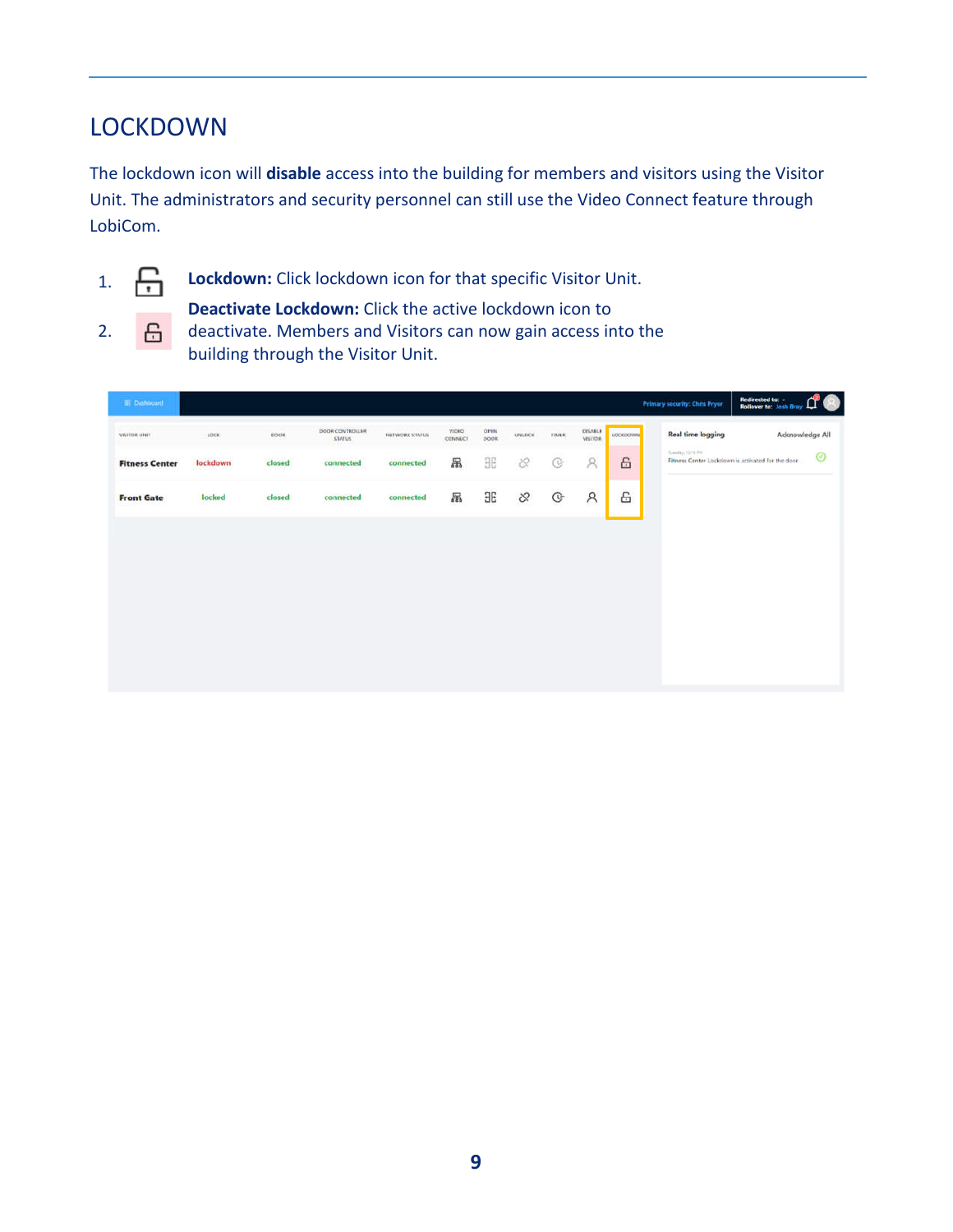## LOCKDOWN

The lockdown icon will **disable** access into the building for members and visitors using the Visitor Unit. The administrators and security personnel can still use the Video Connect feature through LobiCom.



2.

1. **Lockdown:** Click lockdown icon for that specific Visitor Unit.

**Deactivate Lockdown:** Click the active lockdown icon to 6 deactivate. Members and Visitors can now gain access into the building through the Visitor Unit.

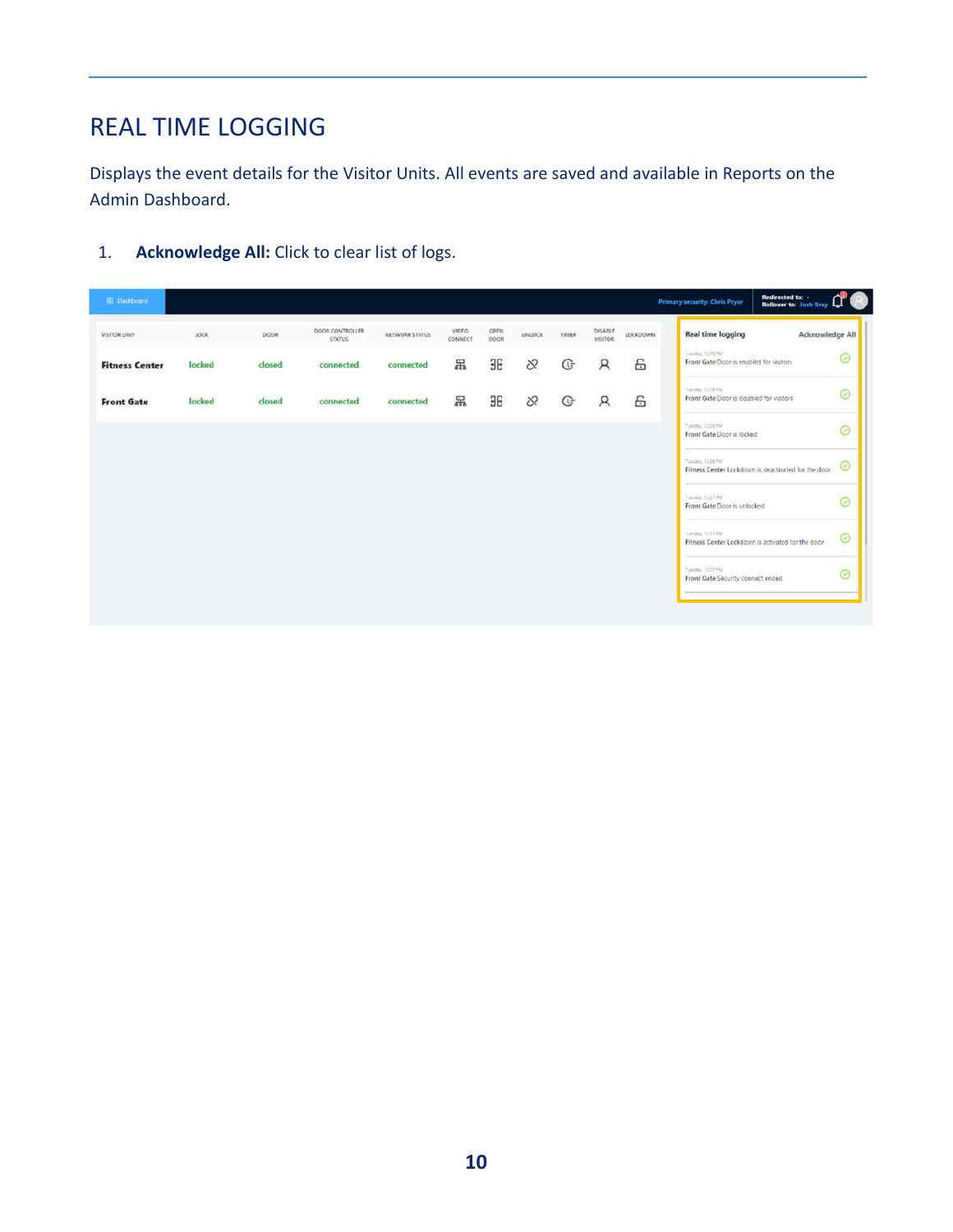# REAL TIME LOGGING

Displays the event details for the Visitor Units. All events are saved and available in Reports on the Admin Dashboard.

1. **Acknowledge All:** Click to clear list of logs.

|                       |        |        | DOOR CONTROLLER |                | VIDEO   | OPEN      |          |       | DESABLE        |          |                                                                         |   |
|-----------------------|--------|--------|-----------------|----------------|---------|-----------|----------|-------|----------------|----------|-------------------------------------------------------------------------|---|
| <b>VISITOR UNIT</b>   | LOCK   | DOOR.  | <b>STATUS</b>   | NETWORK STATUS | CONNECT | DOOR.     | UNIDEK   | TIMER | <b>VISITOR</b> | LOCKDOWN | <b>Real time logging</b><br>Acknowledge All                             |   |
| <b>Fitness Center</b> | locked | closed | connected       | connected      | 呂       | <b>HE</b> | $\infty$ | G     | R              | 岳        | Tanalas 1228 PM<br>Front Gate Door is enabled for visitors              | ⊚ |
| <b>Front Gate</b>     | locked | closed | connected       | connected      | 吊       | <b>HE</b> | 8        | G     | R              | 6        | Turning 12/10/92<br>Front Gate Door is disabled for visitors            | ⊚ |
|                       |        |        |                 |                |         |           |          |       |                |          | Tuesto: (228 PM)<br>Front Gate Door is locked                           | ⊚ |
|                       |        |        |                 |                |         |           |          |       |                |          | Zusabin (228 NV)<br>Fitness Center Lockdown is deactivated for the door | ⊚ |
|                       |        |        |                 |                |         |           |          |       |                |          | Funsilian T22T PM<br>Front Gate Door is unlocked                        | ⊚ |
|                       |        |        |                 |                |         |           |          |       |                |          | Sweding 3227 PM<br>Fitness Center Lockdown is activated for the door    | ⊚ |
|                       |        |        |                 |                |         |           |          |       |                |          | Neider 1227 PM<br>Front Gate Security connect ended                     | ⊚ |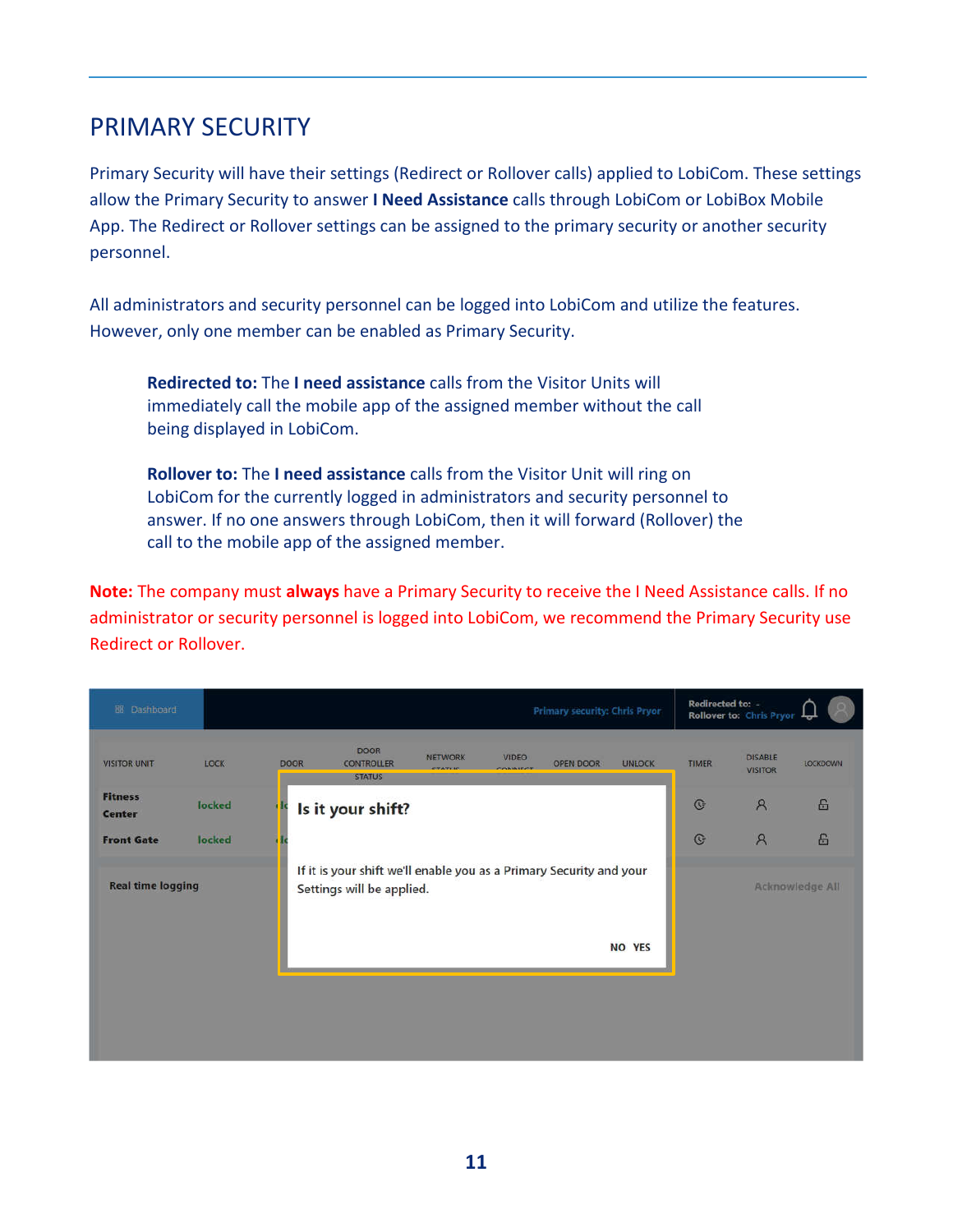## PRIMARY SECURITY

Primary Security will have their settings (Redirect or Rollover calls) applied to LobiCom. These settings allow the Primary Security to answer **I Need Assistance** calls through LobiCom or LobiBox Mobile App. The Redirect or Rollover settings can be assigned to the primary security or another security personnel.

All administrators and security personnel can be logged into LobiCom and utilize the features. However, only one member can be enabled as Primary Security.

**Redirected to:** The **I need assistance** calls from the Visitor Units will immediately call the mobile app of the assigned member without the call being displayed in LobiCom.

**Rollover to:** The **I need assistance** calls from the Visitor Unit will ring on LobiCom for the currently logged in administrators and security personnel to answer. If no one answers through LobiCom, then it will forward (Rollover) the call to the mobile app of the assigned member.

**Note:** The company must **always** have a Primary Security to receive the I Need Assistance calls. If no administrator or security personnel is logged into LobiCom, we recommend the Primary Security use Redirect or Rollover.

| LOCK | <b>DOOR</b>                                  | <b>DOOR</b><br><b>CONTROLLER</b><br><b>STATUS</b> | <b>NETWORK</b><br><b>CTATIIC</b> | <b>VIDEO</b><br>CONTRACT                       | OPEN DOOR | <b>UNLOCK</b> | <b>TIMER</b>                                                                                                          | <b>DISABLE</b><br><b>VISITOR</b> | <b>LOCKDOWN</b>                              |
|------|----------------------------------------------|---------------------------------------------------|----------------------------------|------------------------------------------------|-----------|---------------|-----------------------------------------------------------------------------------------------------------------------|----------------------------------|----------------------------------------------|
|      |                                              |                                                   |                                  |                                                |           |               | $\mathbb{G}$                                                                                                          | $\mathcal{R}$                    | 吕                                            |
|      |                                              |                                                   |                                  |                                                |           |               | $\mathbb{G}$                                                                                                          | $\mathcal{R}$                    | 6                                            |
|      |                                              |                                                   |                                  |                                                |           |               |                                                                                                                       |                                  | <b>Acknowledge All</b>                       |
|      |                                              |                                                   |                                  |                                                |           |               |                                                                                                                       |                                  |                                              |
|      |                                              |                                                   |                                  |                                                |           |               |                                                                                                                       |                                  |                                              |
|      |                                              |                                                   |                                  |                                                |           |               |                                                                                                                       |                                  |                                              |
|      | locked<br>locked<br><b>Real time logging</b> |                                                   |                                  | Is it your shift?<br>Settings will be applied. |           |               | <b>Primary security: Chris Pryor</b><br>If it is your shift we'll enable you as a Primary Security and your<br>NO YES |                                  | Redirected to: -<br>Rollover to: Chris Pryor |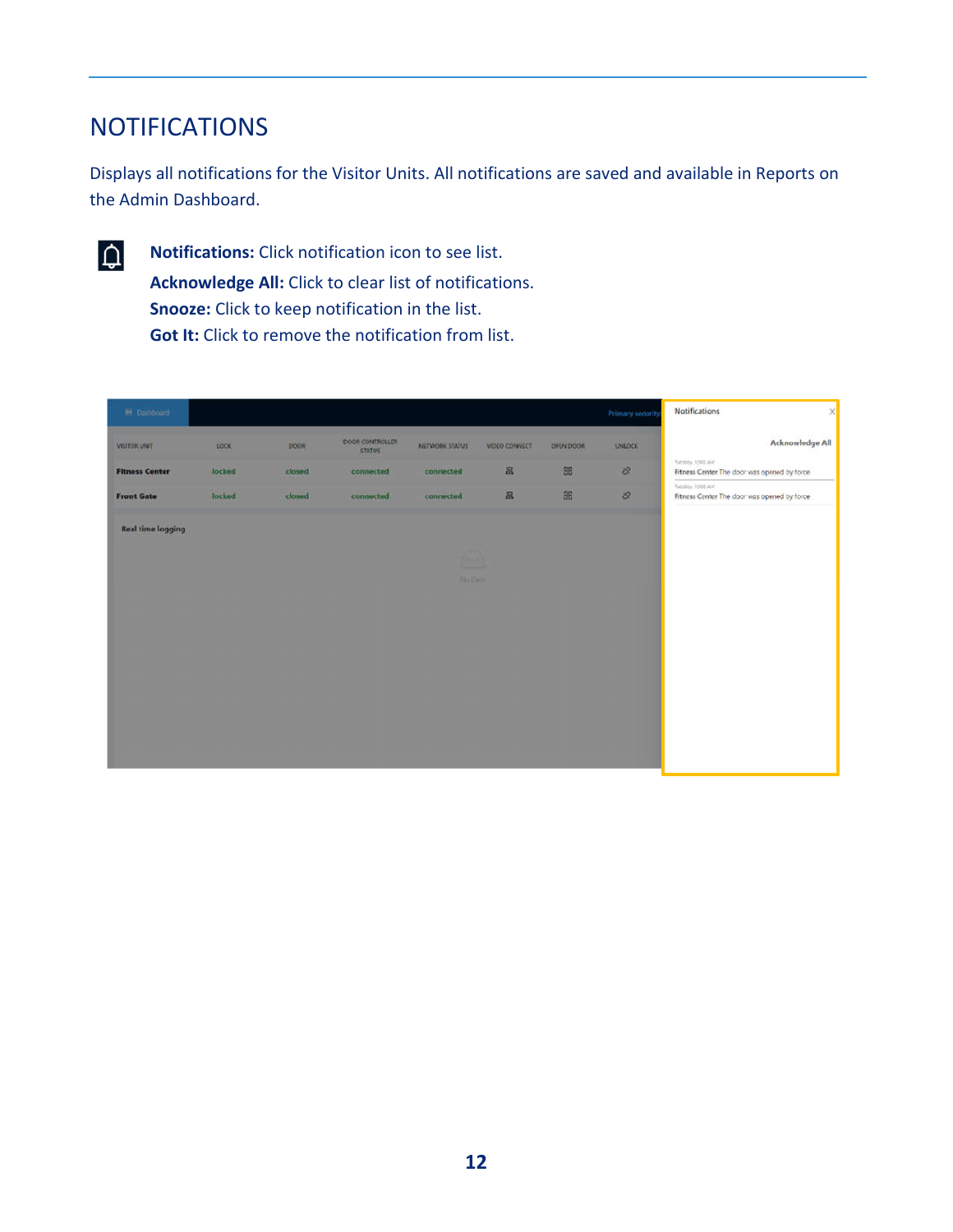## **NOTIFICATIONS**

Displays all notifications for the Visitor Units. All notifications are saved and available in Reports on the Admin Dashboard.



**Notifications:** Click notification icon to see list. **Acknowledge All:** Click to clear list of notifications. **Snooze:** Click to keep notification in the list. **Got It:** Click to remove the notification from list.

| <b>B</b> Dathboard       |        |             |                                  |                    |                      |                  | Primary security | <b>Natifications</b><br>$\mathsf{x}$                            |
|--------------------------|--------|-------------|----------------------------------|--------------------|----------------------|------------------|------------------|-----------------------------------------------------------------|
| VISITOR UNIT             | LOCK   | <b>DOCK</b> | DOOR CONTROLLER<br><b>STATUS</b> | NETWORK STATUS     | <b>VIDEO CONNECT</b> | <b>DPEN DOOR</b> | <b>UNLOCK</b>    | Acknowledge All                                                 |
| <b>Fitness Center</b>    | locked | closed      | connected                        | connected          | 吊                    | BB               | $\infty$         | Tuesday, 1000 AM<br>Fitness Center The door was opened by torce |
| <b>Front Gate</b>        | locked | closed      | connected                        | connected          | $\mathbb{R}$         | 96               | æ                | Sucobs, 1000 AM<br>Fitness Center The door was opened by force  |
| <b>Real time logging</b> |        |             |                                  |                    |                      |                  |                  |                                                                 |
|                          |        |             |                                  | -<br><b>County</b> |                      |                  |                  |                                                                 |
|                          |        |             |                                  | <b>Nichtheim</b>   |                      |                  |                  |                                                                 |
|                          |        |             |                                  |                    |                      |                  |                  |                                                                 |
|                          |        |             |                                  |                    |                      |                  |                  |                                                                 |
|                          |        |             |                                  |                    |                      |                  |                  |                                                                 |
|                          |        |             |                                  |                    |                      |                  |                  |                                                                 |
|                          |        |             |                                  |                    |                      |                  |                  |                                                                 |
|                          |        |             |                                  |                    |                      |                  |                  |                                                                 |
|                          |        |             |                                  |                    |                      |                  |                  |                                                                 |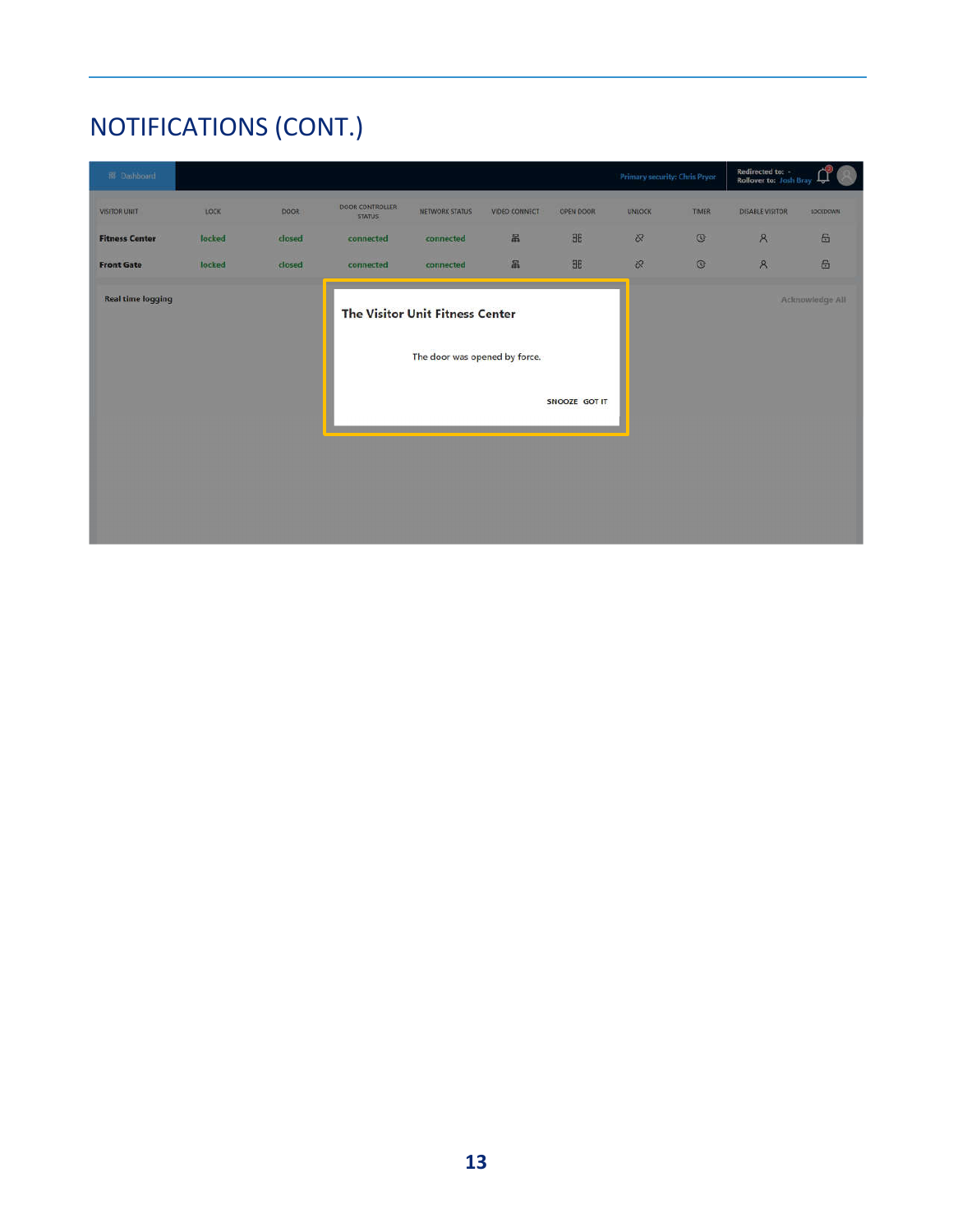# NOTIFICATIONS (CONT.)

| El Dashboard             |        |        |                           |                                                                         |               |               | Primary security: Chris Pryor |              | Redirected to: -<br>Rollover to: Josh Bray | R.<br>لہا       |
|--------------------------|--------|--------|---------------------------|-------------------------------------------------------------------------|---------------|---------------|-------------------------------|--------------|--------------------------------------------|-----------------|
| <b>VISITOR UNIT</b>      | LOCK   | DOOR   | DOOR CONTROLLER<br>STATUS | NETWORK STATUS                                                          | VIDEO CONNECT | OPEN DOOR     | <b>UNLOCK</b>                 | TIMER        | DISABLE VISITOR                            | LOCKDOWN:       |
| <b>Fitness Center</b>    | locked | closed | connected                 | connected                                                               | 呂             | <b>BE</b>     | S.                            | $\mathbb{G}$ | $\mathcal{R}$                              | 6               |
| <b>Front Gate</b>        | locked | closed | connected                 | connected                                                               | 品             | <b>HE</b>     | $\infty$                      | $\circ$      | $\mathcal{R}$                              | 6               |
| <b>Real time logging</b> |        |        |                           | <b>The Visitor Unit Fitness Center</b><br>The door was opened by force. |               |               |                               |              |                                            | Acknowledge All |
|                          |        |        |                           |                                                                         |               | SNOOZE GOT IT |                               |              |                                            |                 |
|                          |        |        |                           |                                                                         |               |               |                               |              |                                            |                 |
|                          |        |        |                           |                                                                         |               |               |                               |              |                                            |                 |
|                          |        |        |                           |                                                                         |               |               |                               |              |                                            |                 |
|                          |        |        |                           |                                                                         |               |               |                               |              |                                            |                 |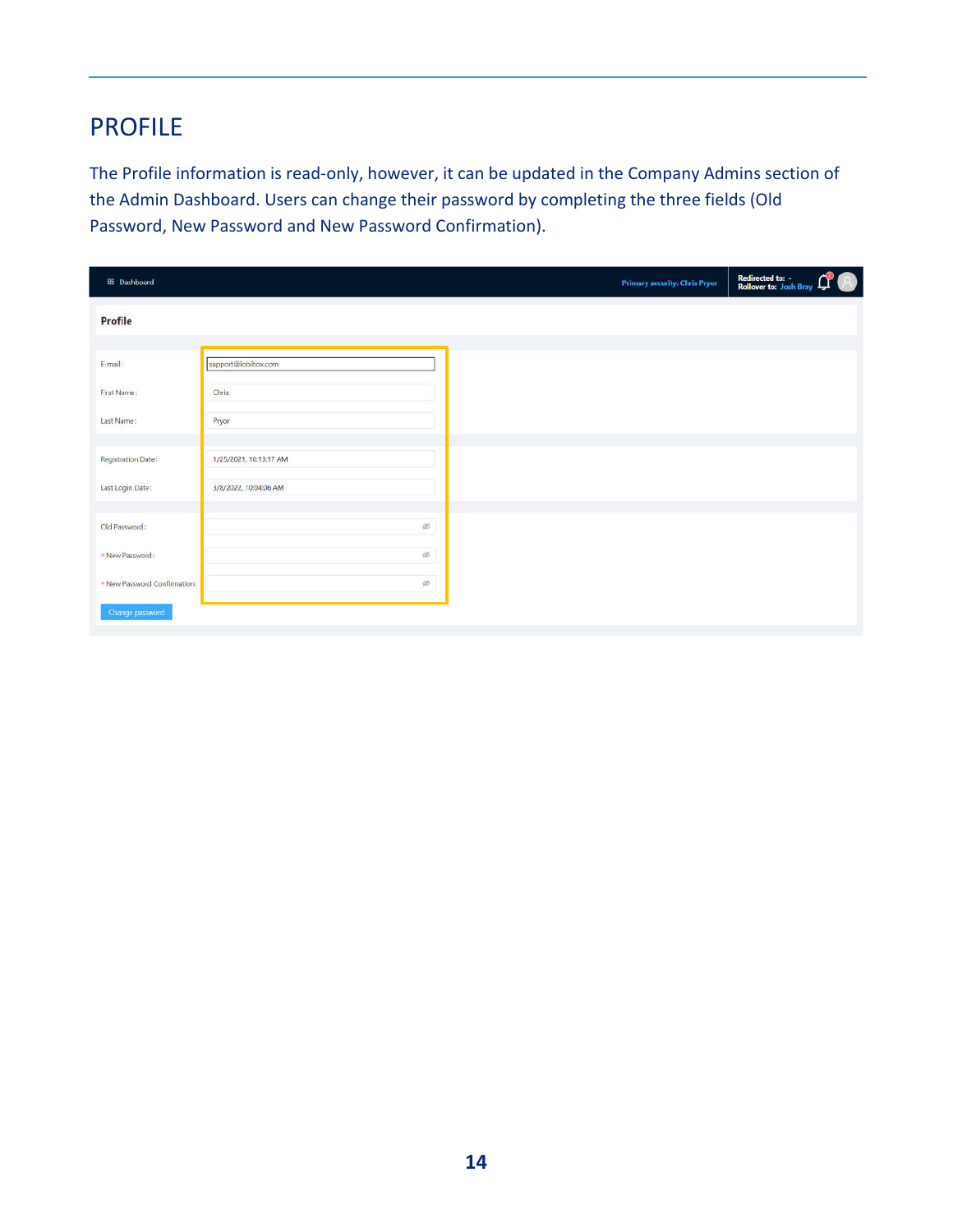### PROFILE

The Profile information is read-only, however, it can be updated in the Company Admins section of the Admin Dashboard. Users can change their password by completing the three fields (Old Password, New Password and New Password Confirmation).

| <b>BB</b> Dashboard          |                        | <b>Primary security: Chris Pryor</b> | Redirected to: -<br>Rollover to: Josh Bray ( |
|------------------------------|------------------------|--------------------------------------|----------------------------------------------|
| <b>Profile</b>               |                        |                                      |                                              |
| E-mail:                      | support@lobibox.com    |                                      |                                              |
| First Name:                  | Chris                  |                                      |                                              |
| Last Name:                   | Pryor                  |                                      |                                              |
| Registration Date:           | 1/25/2021, 10:13:17 AM |                                      |                                              |
| Last Login Date:             | 3/8/2022, 10:04:06 AM  |                                      |                                              |
| Old Password:                | 95                     |                                      |                                              |
| . New Password:              | Ø5                     |                                      |                                              |
| . New Password Confirmation: | $q\bar{q}$             |                                      |                                              |
| Change password              |                        |                                      |                                              |